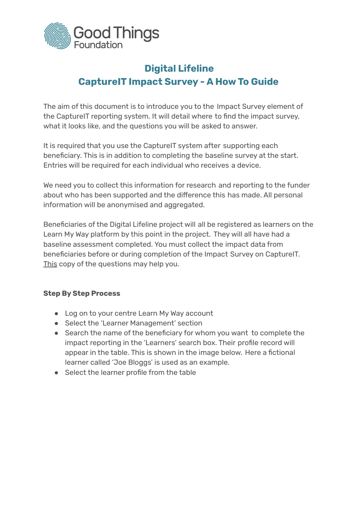

## **Digital Lifeline CaptureIT Impact Survey - A How To Guide**

The aim of this document is to introduce you to the Impact Survey element of the CaptureIT reporting system. It will detail where to find the impact survey, what it looks like, and the questions you will be asked to answer.

It is required that you use the CaptureIT system after supporting each beneficiary. This is in addition to completing the baseline survey at the start. Entries will be required for each individual who receives a device.

We need you to collect this information for research and reporting to the funder about who has been supported and the difference this has made. All personal information will be anonymised and aggregated.

Beneficiaries of the Digital Lifeline project will all be registered as learners on the Learn My Way platform by this point in the project. They will all have had a baseline assessment completed. You must collect the impact data from beneficiaries before or during completion of the Impact Survey on CaptureIT. [This](https://www.onlinecentresnetwork.org/sites/default/files/digital_lifeline_exit_survey_questions.pdf) copy of the questions may help you.

## **Step By Step Process**

- Log on to your centre Learn My Way account
- Select the 'Learner Management' section
- Search the name of the beneficiary for whom you want to complete the impact reporting in the 'Learners' search box. Their profile record will appear in the table. This is shown in the image below. Here a fictional learner called 'Joe Bloggs' is used as an example.
- Select the learner profile from the table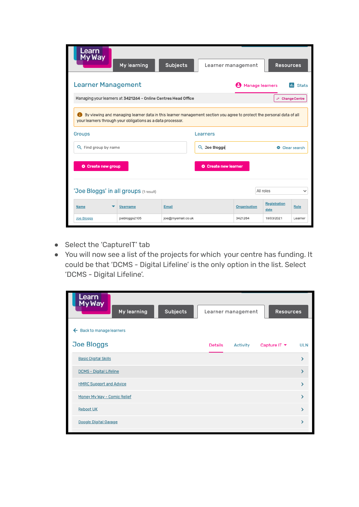| Learn<br>My Way<br>My learning                                                                                                                                                       | <b>Subjects</b>   | Learner management          |                 | <b>Resources</b>            |              |
|--------------------------------------------------------------------------------------------------------------------------------------------------------------------------------------|-------------------|-----------------------------|-----------------|-----------------------------|--------------|
| <b>Learner Management</b>                                                                                                                                                            |                   |                             | Manage learners |                             | <b>Stats</b> |
| Managing your learners at 3421264 - Online Centres Head Office                                                                                                                       |                   |                             |                 | ← Change Centre             |              |
| By viewing and managing learner data in this learner management section you agree to protect the personal data of all<br>your learners through your obligations as a data processor. |                   |                             |                 |                             |              |
| <b>Groups</b>                                                                                                                                                                        |                   | Learners                    |                 |                             |              |
| Q Find group by name                                                                                                                                                                 |                   | Q Joe Bloggs                |                 |                             | Clear search |
| <b>O</b> Create new group                                                                                                                                                            |                   | <b>O</b> Create new learner |                 |                             |              |
| 'Joe Bloggs' in all groups (1 result)                                                                                                                                                |                   |                             |                 | All roles                   | $\checkmark$ |
| <b>Name</b><br><b>Username</b>                                                                                                                                                       | Email             |                             | Organisation    | <b>Registration</b><br>date | Role         |
| joebloggs2105<br>Joe Bloggs                                                                                                                                                          | joe@myemail.co.uk |                             | 3421264         | 18/03/2021                  | Learner      |

- Select the 'CaptureIT' tab
- You will now see a list of the projects for which your centre has funding. It could be that 'DCMS - Digital Lifeline' is the only option in the list. Select 'DCMS - Digital Lifeline'.

| Learn<br>My Way<br>My learning<br><b>Subjects</b> | <b>Resources</b><br>Learner management                   |
|---------------------------------------------------|----------------------------------------------------------|
| Back to manage learners<br>←                      |                                                          |
| <b>Joe Bloggs</b>                                 | Capture IT ▼<br><b>Details</b><br>Activity<br><b>ULN</b> |
| <b>Basic Digital Skills</b>                       |                                                          |
| DCMS - Digital Lifeline                           |                                                          |
| <b>HMRC Support and Advice</b>                    |                                                          |
| Money My Way - Comic Relief                       |                                                          |
| <b>Reboot UK</b>                                  |                                                          |
| <b>Google Digital Garage</b>                      |                                                          |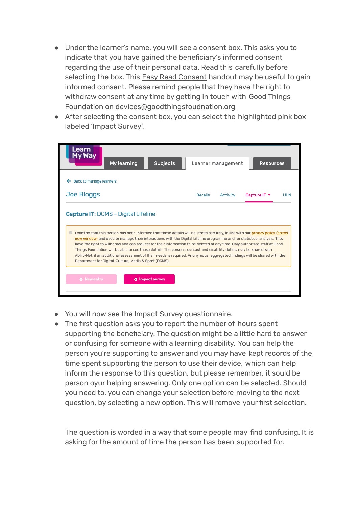- Under the learner's name, you will see a consent box. This asks you to indicate that you have gained the beneficiary's informed consent regarding the use of their personal data. Read this carefully before selecting the box. This Easy Read [Consent](https://www.onlinecentresnetwork.org/sites/default/files/easy_read_-_digital_lifeline_-_informed_consent_script_for_impact_survey.pdf) handout may be useful to gain informed consent. Please remind people that they have the right to withdraw consent at any time by getting in touch with Good Things Foundation on [devices@goodthingsfoudnation.org](mailto:devices@goodthingsfoudnation.org)
- After selecting the consent box, you can select the highlighted pink box labeled 'Impact Survey'.

| My Way<br>My learning                                                                                                                                                                                                                                                                                                                                                                                               | <b>Subjects</b> | Learner management | <b>Resources</b> |            |
|---------------------------------------------------------------------------------------------------------------------------------------------------------------------------------------------------------------------------------------------------------------------------------------------------------------------------------------------------------------------------------------------------------------------|-----------------|--------------------|------------------|------------|
| Back to manage learners                                                                                                                                                                                                                                                                                                                                                                                             |                 |                    |                  |            |
| <b>Joe Bloggs</b>                                                                                                                                                                                                                                                                                                                                                                                                   | <b>Details</b>  | <b>Activity</b>    | Capture IT ▼     | <b>ULN</b> |
| I confirm that this person has been informed that these details will be stored securely, in line with our privacy policy (opens                                                                                                                                                                                                                                                                                     |                 |                    |                  |            |
| Capture IT: DCMS - Digital Lifeline<br>new window) and used to manage their interactions with the Digital Lifeline programme and for statistical analysis. They<br>have the right to withdraw and can request for their information to be deleted at any time. Only authorised staff at Good<br>Things Foundation will be able to see these details. The person's contact and disability details may be shared with |                 |                    |                  |            |
| AbilityNet, if an additional assessment of their needs is required. Anonymous, aggregated findings will be shared with the<br>Department for Digital, Culture, Media & Sport (DCMS).                                                                                                                                                                                                                                |                 |                    |                  |            |

- You will now see the Impact Survey questionnaire.
- The first question asks you to report the number of hours spent supporting the beneficiary. The question might be a little hard to answer or confusing for someone with a learning disability. You can help the person you're supporting to answer and you may have kept records of the time spent supporting the person to use their device, which can help inform the response to this question, but please remember, it sould be person oyur helping answering. Only one option can be selected. Should you need to, you can change your selection before moving to the next question, by selecting a new option. This will remove your first selection.

The question is worded in a way that some people may find confusing. It is asking for the amount of time the person has been supported for.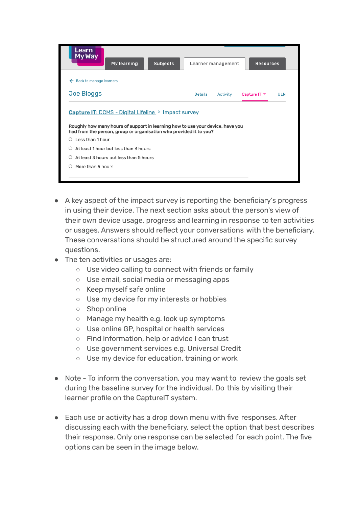| Learn<br>My Way<br>My learning<br><b>Subjects</b>                                                                                                                             | Learner management         | <b>Resources</b>                              |
|-------------------------------------------------------------------------------------------------------------------------------------------------------------------------------|----------------------------|-----------------------------------------------|
| ← Back to manage learners                                                                                                                                                     |                            |                                               |
| <b>Joe Bloggs</b>                                                                                                                                                             | <b>Details</b><br>Activity | Capture IT $\blacktriangledown$<br><b>ULN</b> |
| Roughly how many hours of support in learning how to use your device, have you<br>had from the person, group or organisation who provided it to you?<br>Less than 1 hour<br>0 |                            |                                               |
| At least 1 hour but less than 3 hours<br>O                                                                                                                                    |                            |                                               |
| At least 3 hours but less than 5 hours<br>O                                                                                                                                   |                            |                                               |
| More than 5 hours<br>O                                                                                                                                                        |                            |                                               |

- A key aspect of the impact survey is reporting the beneficiary's progress in using their device. The next section asks about the person's view of their own device usage, progress and learning in response to ten activities or usages. Answers should reflect your conversations with the beneficiary. These conversations should be structured around the specific survey questions.
- The ten activities or usages are:
	- Use video calling to connect with friends or family
	- Use email, social media or messaging apps
	- Keep myself safe online
	- Use my device for my interests or hobbies
	- Shop online
	- Manage my health e.g. look up symptoms
	- Use online GP, hospital or health services
	- Find information, help or advice I can trust
	- Use government services e.g. Universal Credit
	- Use my device for education, training or work
- Note To inform the conversation, you may want to review the goals set during the baseline survey for the individual. Do this by visiting their learner profile on the CaptureIT system.
- Each use or activity has a drop down menu with five responses. After discussing each with the beneficiary, select the option that best describes their response. Only one response can be selected for each point. The five options can be seen in the image below.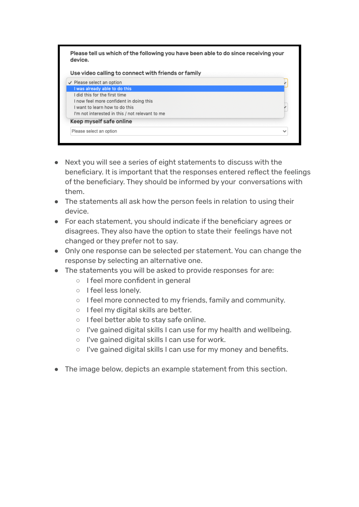

- Next you will see a series of eight statements to discuss with the beneficiary. It is important that the responses entered reflect the feelings of the beneficiary. They should be informed by your conversations with them.
- The statements all ask how the person feels in relation to using their device.
- For each statement, you should indicate if the beneficiary agrees or disagrees. They also have the option to state their feelings have not changed or they prefer not to say.
- Only one response can be selected per statement. You can change the response by selecting an alternative one.
- The statements you will be asked to provide responses for are:
	- I feel more confident in general
	- I feel less lonely.
	- I feel more connected to my friends, family and community.
	- I feel my digital skills are better.
	- I feel better able to stay safe online.
	- I've gained digital skills I can use for my health and wellbeing.
	- I've gained digital skills I can use for work.
	- I've gained digital skills I can use for my money and benefits.
- The image below, depicts an example statement from this section.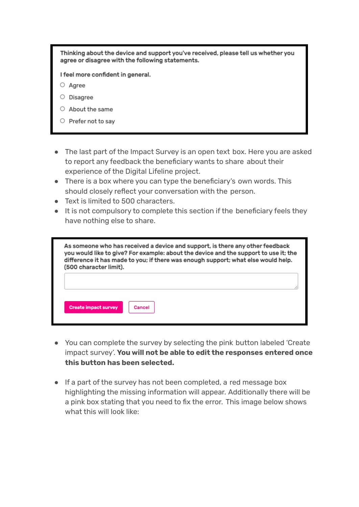Thinking about the device and support you've received, please tell us whether you agree or disagree with the following statements.

I feel more confident in general.

 $\circ$  Agree

- $\circ$  Disagree
- $\circ$  About the same
- $\circ$  Prefer not to say
- The last part of the Impact Survey is an open text box. Here you are asked to report any feedback the beneficiary wants to share about their experience of the Digital Lifeline project.
- There is a box where you can type the beneficiary's own words. This should closely reflect your conversation with the person.
- Text is limited to 500 characters.
- It is not compulsory to complete this section if the beneficiary feels they have nothing else to share.

| As someone who has received a device and support, is there any other feedback<br>you would like to give? For example: about the device and the support to use it; the<br>difference it has made to you; if there was enough support; what else would help.<br>(500 character limit). |        |  |
|--------------------------------------------------------------------------------------------------------------------------------------------------------------------------------------------------------------------------------------------------------------------------------------|--------|--|
| <b>Create impact survey</b>                                                                                                                                                                                                                                                          | Cancel |  |

- You can complete the survey by selecting the pink button labeled 'Create impact survey'. **You will not be able to edit the responses entered once this button has been selected.**
- If a part of the survey has not been completed, a red message box highlighting the missing information will appear. Additionally there will be a pink box stating that you need to fix the error. This image below shows what this will look like: